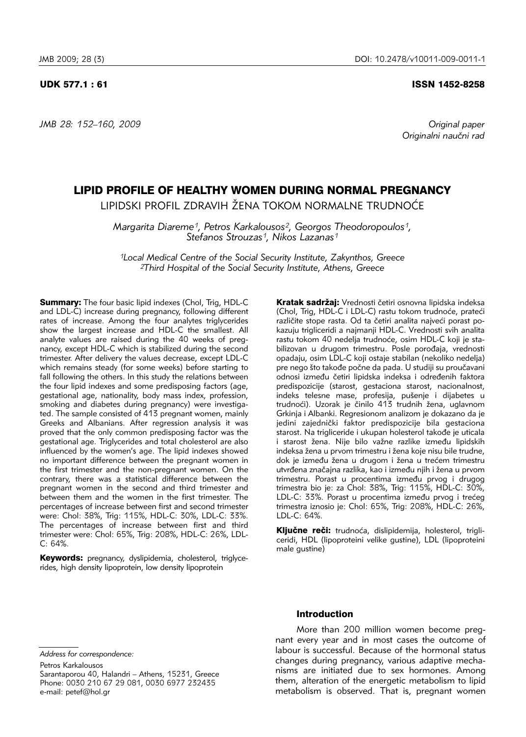*JMB 28: 152–160, 2009 Original paper*

#### UDK 577.1 : 61 ISSN 1452-8258

*Originalni nau~ni rad*

# LIPID PROFILE OF HEALTHY WOMEN DURING NORMAL PREGNANCY

LIPIDSKI PROFIL ZDRAVIH ŽENA TOKOM NORMALNE TRUDNOĆE

*Margarita Diareme1, Petros Karkalousos2, Georgos Theodoropoulos1, Stefanos Strouzas1, Nikos Lazanas1*

*1Local Medical Centre of the Social Security Institute, Zakynthos, Greece 2Third Hospital of the Social Security Institute, Athens, Greece*

**Summary:** The four basic lipid indexes (Chol, Trig, HDL-C) and LDL-C) increase during pregnancy, following different rates of increase. Among the four analytes triglycerides show the largest increase and HDL-C the smallest. All analyte values are raised during the 40 weeks of pregnancy, except HDL-C which is stabilized during the second trimester. After delivery the values decrease, except LDL-C which remains steady (for some weeks) before starting to fall following the others. In this study the relations between the four lipid indexes and some predisposing factors (age, gestational age, nationality, body mass index, profession, smoking and diabetes during pregnancy) were investigated. The sample consisted of 413 pregnant women, mainly Greeks and Albanians. After regression analysis it was proved that the only common predisposing factor was the gestational age. Triglycerides and total cholesterol are also influenced by the women's age. The lipid indexes showed no important difference between the pregnant women in the first trimester and the non-pregnant women. On the contrary, there was a statistical difference between the pregnant women in the second and third trimester and between them and the women in the first trimester. The percentages of increase between first and second trimester were: Chol: 38%, Trig: 115%, HDL-C: 30%, LDL-C: 33%. The percentages of increase between first and third trimester were: Chol: 65%, Trig: 208%, HDL-C: 26%, LDL- $C: 64%$ 

Keywords: pregnancy, dyslipidemia, cholesterol, triglycerides, high density lipoprotein, low density lipoprotein

Kratak sadržai: Vrednosti četiri osnovna lipidska indeksa (Chol, Trig, HDL-C i LDL-C) rastu tokom trudnoće, prateći različite stope rasta. Od ta četiri analita najveći porast pokazuju trigliceridi a najmanji HDL-C. Vrednosti svih analita rastu tokom 40 nedelja trudnoće, osim HDL-C koji je stabilizovan u drugom trimestru. Posle porođaja, vrednosti opadaju, osim LDL-C koji ostaje stabilan (nekoliko nedelja) pre nego što takođe počne da pada. U studiji su proučavani odnosi između četiri lipidska indeksa i određenih faktora predispozicije (starost, gestaciona starost, nacionalnost, indeks telesne mase, profesija, pušenje i dijabetes u trudnoći). Uzorak je činilo 413 trudnih žena, uglavnom Grkinja i Albanki. Regresionom analizom je dokazano da je jedini zajednički faktor predispozicije bila gestaciona starost. Na trigliceride i ukupan holesterol takođe je uticala i starost žena. Nije bilo važne razlike između lipidskih indeksa žena u prvom trimestru i žena koje nisu bile trudne, dok je između žena u drugom i žena u trećem trimestru utvrđena značajna razlika, kao i između njih i žena u prvom trimestru. Porast u procentima između prvog i drugog trimestra bio je: za Chol: 38%, Trig: 115%, HDL-C: 30%, LDL-C: 33%. Porast u procentima između prvog i trećeg trimestra iznosio je: Chol: 65%, Trig: 208%, HDL-C: 26%, LDL-C: 64%.

Ključne reči: trudnoća, dislipidemija, holesterol, trigliceridi, HDL (lipoproteini velike gustine), LDL (lipoproteini male gustine)

*Address for correspondence:*

### Introduction

More than 200 million women become pregnant every year and in most cases the outcome of labour is successful. Because of the hormonal status changes during pregnancy, various adaptive mechanisms are initiated due to sex hormones. Among them, alteration of the energetic metabolism to lipid metabolism is observed. That is, pregnant women

Petros Karkalousos Sarantaporou 40, Halandri – Athens, 15231, Greece Phone: 0030 210 67 29 081, 0030 6977 232435 e-mail: petef@hol.gr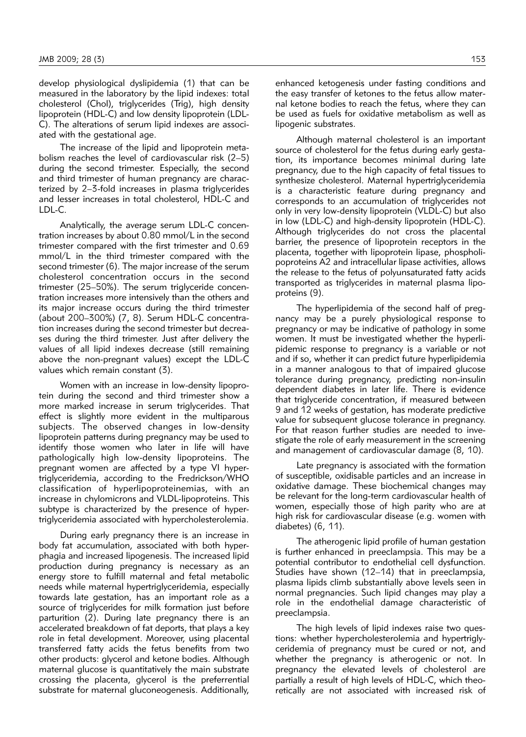develop physiological dyslipidemia (1) that can be measured in the laboratory by the lipid indexes: total cholesterol (Chol), triglycerides (Trig), high density lipoprotein (HDL-C) and low density lipoprotein (LDL-C). The alterations of serum lipid indexes are associated with the gestational age.

The increase of the lipid and lipoprotein metabolism reaches the level of cardiovascular risk (2–5) during the second trimester. Especially, the second and third trimester of human pregnancy are characterized by 2–3-fold increases in plasma triglycerides and lesser increases in total cholesterol, HDL-C and LDL-C.

Analytically, the average serum LDL-C concentration increases by about 0.80 mmol/L in the second trimester compared with the first trimester and 0.69 mmol/L in the third trimester compared with the second trimester (6). The major increase of the serum cholesterol concentration occurs in the second trimester (25–50%). The serum triglyceride concentration increases more intensively than the others and its major increase occurs during the third trimester (about 200–300%) (7, 8). Serum HDL-C concentra tion increases during the second trimester but decreases during the third trimester. Just after delivery the values of all lipid indexes decrease (still remaining above the non-pregnant values) except the LDL-C values which remain constant (3).

Women with an increase in low-density lipoprotein during the second and third trimester show a more marked increase in serum triglycerides. That effect is slightly more evident in the multiparous subjects. The observed changes in low-density lipoprotein patterns during pregnancy may be used to identify those women who later in life will have pathologically high low-density lipoproteins. The pregnant women are affected by a type VI hypertriglyceridemia, according to the Fredrickson/WHO classification of hyperlipoproteinemias, with an increase in chylomicrons and VLDL-lipoproteins. This subtype is characterized by the presence of hypertriglyceridemia associated with hypercholesterolemia.

During early pregnancy there is an increase in body fat accumulation, associated with both hyperphagia and increased lipogenesis. The increased lipid production during pregnancy is necessary as an energy store to fulfill maternal and fetal metabolic needs while maternal hypertriglyceridemia, especially towards late gestation, has an important role as a source of triglycerides for milk formation just before parturition (2). During late pregnancy there is an accelerated breakdown of fat deports, that plays a key role in fetal development. Moreover, using placental transferred fatty acids the fetus benefits from two other products: glycerol and ketone bodies. Although maternal glucose is quantitatively the main substrate crossing the placenta, glycerol is the preferrential substrate for maternal gluconeogenesis. Additionally,

enhanced ketogenesis under fasting conditions and the easy transfer of ketones to the fetus allow maternal ketone bodies to reach the fetus, where they can be used as fuels for oxidative metabolism as well as lipogenic substrates.

Although maternal cholesterol is an important source of cholesterol for the fetus during early gestation, its importance becomes minimal during late pregnancy, due to the high capacity of fetal tissues to synthesize cholesterol. Maternal hypertriglyceridemia is a characteristic feature during pregnancy and corresponds to an accumulation of triglycerides not only in very low-density lipoprotein (VLDL-C) but also in low (LDL-C) and high-density lipoprotein (HDL-C). Although triglycerides do not cross the placental barrier, the presence of lipoprotein receptors in the placenta, together with lipoprotein lipase, phospholipoproteins A2 and intracellular lipase activities, allows the release to the fetus of polyunsaturated fatty acids transported as triglycerides in maternal plasma lipoproteins (9).

The hyperlipidemia of the second half of pregnancy may be a purely physiological response to pregnancy or may be indicative of pathology in some women. It must be investigated whether the hyperlipidemic response to pregnancy is a variable or not and if so, whether it can predict future hyperlipidemia in a manner analogous to that of impaired glucose tolerance during pregnancy, predicting non-insulin dependent diabetes in later life. There is evidence that triglyceride concentration, if measured between 9 and 12 weeks of gestation, has moderate predictive value for subsequent glucose tolerance in pregnancy. For that reason further studies are needed to investigate the role of early measurement in the screening and management of cardiovascular damage (8, 10).

Late pregnancy is associated with the formation of susceptible, oxidisable particles and an increase in oxidative damage. These biochemical changes may be relevant for the long-term cardiovascular health of women, especially those of high parity who are at high risk for cardiovascular disease (e.g. women with diabetes) (6, 11).

The atherogenic lipid profile of human gestation is further enhanced in preeclampsia. This may be a potential contributor to endothelial cell dysfunction. Studies have shown  $(12-14)$  that in preeclampsia, plasma lipids climb substantially above levels seen in normal pregnancies. Such lipid changes may play a role in the endothelial damage characteristic of preeclampsia.

The high levels of lipid indexes raise two questions: whether hypercholesterolemia and hypertriglyce ridemia of pregnancy must be cured or not, and whether the pregnancy is atherogenic or not. In pregnancy the elevated levels of cholesterol are partially a result of high levels of HDL-C, which theoretically are not associated with increased risk of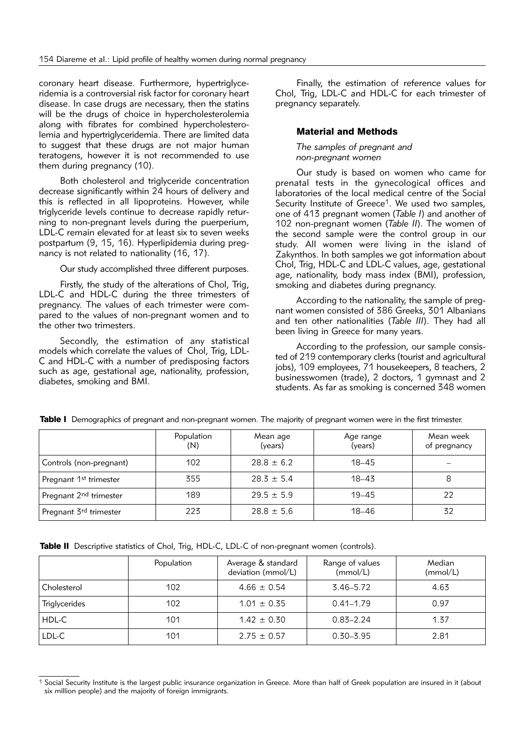coronary heart disease. Furthermore, hypertriglyceridemia is a controversial risk factor for coronary heart disease. In case drugs are necessary, then the statins will be the drugs of choice in hypercholesterolemia along with fibrates for combined hypercholesterolemia and hypertriglyceridemia. There are limited data to suggest that these drugs are not major human teratogens, however it is not recommended to use them during pregnancy (10).

Both cholesterol and triglyceride concentration decrease significantly within 24 hours of delivery and this is reflected in all lipoproteins. However, while triglyceride levels continue to decrease rapidly returning to non-pregnant levels during the puerperium, LDL-C remain elevated for at least six to seven weeks postpartum (9, 15, 16). Hyperlipidemia during pregnancy is not related to nationality (16, 17).

Our study accomplished three different purposes.

Firstly, the study of the alterations of Chol, Trig, LDL-C and HDL-C during the three trimesters of pregnancy. The values of each trimester were compared to the values of non-pregnant women and to the other two trimesters.

Secondly, the estimation of any statistical models which correlate the values of Chol, Trig, LDL-C and HDL-C with a number of predisposing factors such as age, gestational age, nationality, profession, diabetes, smoking and BMI.

Finally, the estimation of reference values for Chol, Trig, LDL-C and HDL-C for each trimester of pregnancy separately.

# Material and Methods

*The samples of pregnant and non-pregnant women*

Our study is based on women who came for prenatal tests in the gynecological offices and laboratories of the local medical centre of the Social Security Institute of Greece<sup>1</sup>. We used two samples, one of 413 pregnant women (*Table I*) and another of 102 non-pregnant women (*Table II*). The women of the second sample were the control group in our study. All women were living in the island of Zakynthos. In both samples we got information about Chol, Trig, HDL-C and LDL-C values, age, gestational age, nationality, body mass index (BMI), profession, smoking and diabetes during pregnancy.

According to the nationality, the sample of pregnant women consisted of 386 Greeks, 301 Albanians and ten other nationalities (*Table III*). They had all been living in Greece for many years.

According to the profession, our sample consisted of 219 contemporary clerks (tourist and agricultural jobs), 109 employees, 71 housekeepers, 8 teachers, 2 businesswomen (trade), 2 doctors, 1 gymnast and 2 students. As far as smoking is concerned 348 women

|                                    | Population<br>(N) | Mean age<br>(years) | Age range<br>(years) | Mean week<br>of pregnancy |
|------------------------------------|-------------------|---------------------|----------------------|---------------------------|
| Controls (non-pregnant)            | 102               | $28.8 \pm 6.2$      | $18 - 45$            |                           |
| Pregnant 1st trimester             | 355               | $28.3 \pm 5.4$      | $18 - 43$            | 8                         |
| Pregnant 2 <sup>nd</sup> trimester | 189               | $29.5 \pm 5.9$      | $19 - 45$            | 22                        |
| Pregnant 3 <sup>rd</sup> trimester | 223               | $28.8 \pm 5.6$      | $18 - 46$            | 32                        |

Table I Demographics of pregnant and non-pregnant women. The majority of pregnant women were in the first trimester.

Table II Descriptive statistics of Chol, Trig, HDL-C, LDL-C of non-pregnant women (controls).

|                      | Population | Average & standard<br>deviation (mmol/L) | Range of values<br>(mmol/L) | Median<br>(mmol/L) |
|----------------------|------------|------------------------------------------|-----------------------------|--------------------|
| Cholesterol          | 102        | $4.66 \pm 0.54$                          | $3.46 - 5.72$               | 4.63               |
| <b>Triglycerides</b> | 102        | $1.01 \pm 0.35$                          | $0.41 - 1.79$               | 0.97               |
| HDL-C                | 101        | $1.42 \pm 0.30$                          | $0.83 - 2.24$               | 1.37               |
| LDL-C                | 101        | $2.75 \pm 0.57$                          | $0.30 - 3.95$               | 2.81               |

<sup>&</sup>lt;sup>1</sup> Social Security Institute is the largest public insurance organization in Greece. More than half of Greek population are insured in it (about six million people) and the majority of foreign immigrants.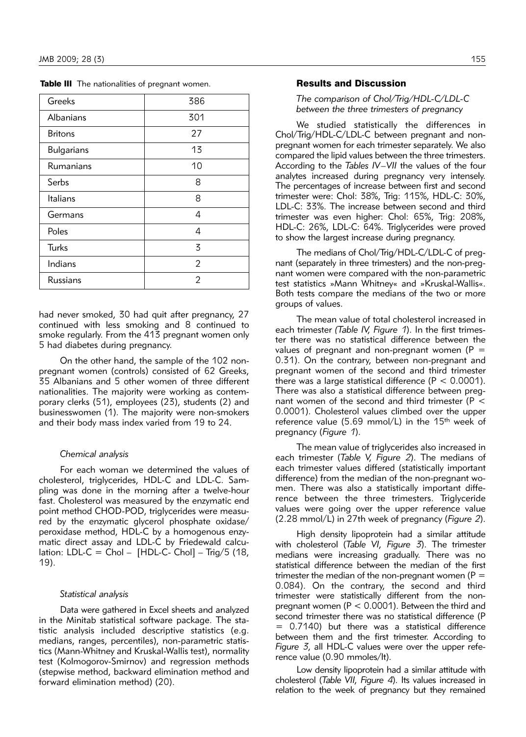|  | Table III The nationalities of pregnant women. |
|--|------------------------------------------------|
|  |                                                |

| Greeks            | 386 |
|-------------------|-----|
| Albanians         | 301 |
| <b>Britons</b>    | 27  |
| <b>Bulgarians</b> | 13  |
| Rumanians         | 10  |
| Serbs             | 8   |
| Italians          | 8   |
| Germans           | 4   |
| Poles             | 4   |
| Turks             | 3   |
| Indians           | 2   |
| Russians          | 2   |

had never smoked, 30 had quit after pregnancy, 27 continued with less smoking and 8 continued to smoke regularly. From the 413 pregnant women only 5 had diabetes during pregnancy.

On the other hand, the sample of the 102 nonpregnant women (controls) consisted of 62 Greeks, 35 Albanians and 5 other women of three different nationalities. The majority were working as contemporary clerks (51), employees (23), students (2) and businesswomen (1). The majority were non-smokers and their body mass index varied from 19 to 24.

# *Chemical analysis*

For each woman we determined the values of cholesterol, triglycerides, HDL-C and LDL-C. Sampling was done in the morning after a twelve-hour fast. Cholesterol was measured by the enzymatic end point method CHOD-POD, triglycerides were measured by the enzymatic glycerol phosphate oxidase/ peroxidase method, HDL-C by a homogenous enzymatic direct assay and LDL-C by Friedewald calculation: LDL-C = Chol - [HDL-C- Chol] - Trig/5 (18, 19).

### *Statistical analysis*

Data were gathered in Excel sheets and analyzed in the Minitab statistical software package. The statistic analysis included descriptive statistics (e.g. medians, ranges, percentiles), non-parametric statistics (Mann-Whitney and Kruskal-Wallis test), normality test (Kolmogorov-Smirnov) and regression methods (stepwise method, backward elimination method and forward elimination method) (20).

## Results and Discussion

#### *The comparison of Chol/Trig/HDL-C/LDL-C*  between the three trimesters of pregnancy

We studied statistically the differences in Chol/Trig/HDL-C/LDL-C between pregnant and nonpregnant women for each trimester separately. We also compared the lipid values between the three trimesters. According to the *Tables IV–VII* the values of the four analytes increased during pregnancy very intensely. The percentages of increase between first and second trimester were: Chol: 38%, Trig: 115%, HDL-C: 30%, LDL-C: 33%. The increase between second and third trimester was even higher: Chol: 65%, Trig: 208%, HDL-C: 26%, LDL-C: 64%. Triglycerides were proved to show the largest increase during pregnancy.

The medians of Chol/Trig/HDL-C/LDL-C of pregnant (separately in three trimesters) and the non-preqnant women were compared with the non-parametric test statistics »Mann Whitney« and »Kruskal-Wallis«. Both tests compare the medians of the two or more groups of values.

The mean value of total cholesterol increased in each trimester *(Table IV, Figure 1)*. In the first trimester there was no statistical difference between the values of pregnant and non-pregnant women ( $P =$ 0.31). On the contrary, between non-pregnant and pregnant women of the second and third trimester there was a large statistical difference ( $P < 0.0001$ ). There was also a statistical difference between pregnant women of the second and third trimester ( $P <$ 0.0001). Cholesterol values climbed over the upper reference value (5.69 mmol/L) in the 15<sup>th</sup> week of pregnancy (*Figure 1*).

The mean value of triglycerides also increased in each trimester (*Table V, Figure 2*). The medians of each trimester values differed (statistically important difference) from the median of the non-pregnant women. There was also a statistically important difference between the three trimesters. Triglyceride values were going over the upper reference value (2.28 mmol/L) in 27th week of pregnancy (*Figure 2*).

High density lipoprotein had a similar attitude with cholesterol (*Table VI, Figure 3*). The trimester medians were increasing gradually. There was no statistical difference between the median of the first trimester the median of the non-pregnant women ( $P =$ 0.084). On the contrary, the second and third trimester were statistically different from the nonpregnant women (P < 0.0001). Between the third and second trimester there was no statistical difference (P = 0.7140) but there was a statistical difference between them and the first trimester. According to Figure 3, all HDL-C values were over the upper reference value (0.90 mmoles/lt).

Low density lipoprotein had a similar attitude with cholesterol (*Table VII, Figure 4*). Its values increased in relation to the week of pregnancy but they remained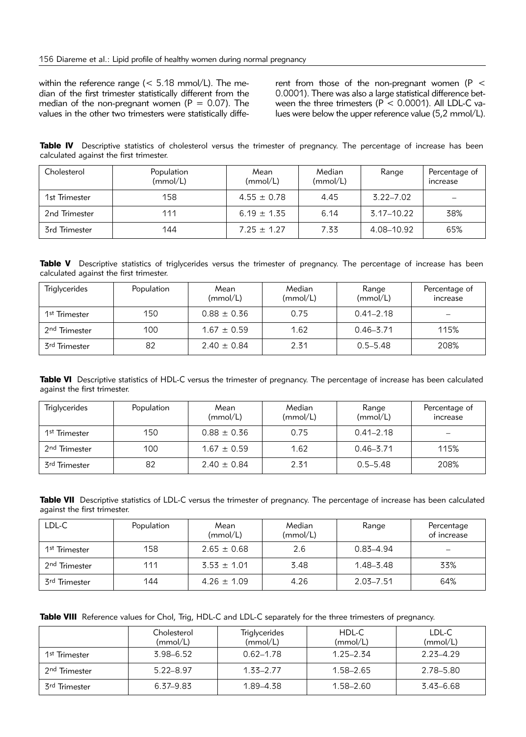within the reference range ( $<$  5.18 mmol/L). The median of the first trimester statistically different from the median of the non-pregnant women ( $P = 0.07$ ). The values in the other two trimesters were statistically different from those of the non-pregnant women ( $P <$ 0.0001). There was also a large statistical difference between the three trimesters ( $P < 0.0001$ ). All LDL-C values were below the upper reference value (5,2 mmol/L).

Table IV Descriptive statistics of cholesterol versus the trimester of pregnancy. The percentage of increase has been calculated against the first trimester.

| Cholesterol   | Population<br>(mmol/L) | Mean<br>(mmol/L) | Median<br>(mmol/L) | Range         | Percentage of<br>increase |
|---------------|------------------------|------------------|--------------------|---------------|---------------------------|
| 1st Trimester | 158                    | $4.55 \pm 0.78$  | 4.45               | $3.22 - 7.02$ | -                         |
| 2nd Trimester | 111                    | $6.19 \pm 1.35$  | 6.14               | 3.17–10.22    | 38%                       |
| 3rd Trimester | 144                    | $7.25 \pm 1.27$  | 7.33               | 4.08-10.92    | 65%                       |

Table V Descriptive statistics of triglycerides versus the trimester of pregnancy. The percentage of increase has been calculated against the first trimester.

| <b>Triglycerides</b>      | Population | Mean<br>(mmol/L) | Median<br>(mmol/L) | Range<br>(mmol/L) | Percentage of<br>increase |
|---------------------------|------------|------------------|--------------------|-------------------|---------------------------|
| 1 <sup>st</sup> Trimester | 150        | $0.88 \pm 0.36$  | 0.75               | $0.41 - 2.18$     | $\overline{\phantom{0}}$  |
| 2 <sup>nd</sup> Trimester | 100        | $1.67 \pm 0.59$  | 1.62               | $0.46 - 3.71$     | 115%                      |
| 3 <sup>rd</sup> Trimester | 82         | $2.40 \pm 0.84$  | 2.31               | $0.5 - 5.48$      | 208%                      |

Table VI Descriptive statistics of HDL-C versus the trimester of pregnancy. The percentage of increase has been calculated against the first trimester.

| <b>Triglycerides</b>      | Population | Mean<br>(mmol/L) | Median<br>(mmol/L) | Range<br>(mmol/L) | Percentage of<br>increase |
|---------------------------|------------|------------------|--------------------|-------------------|---------------------------|
| 1 <sup>st</sup> Trimester | 150        | $0.88 \pm 0.36$  | 0.75               | $0.41 - 2.18$     | $\overline{\phantom{0}}$  |
| 2 <sup>nd</sup> Trimester | 100        | $1.67 \pm 0.59$  | 1.62               | $0.46 - 3.71$     | 115%                      |
| 3 <sup>rd</sup> Trimester | 82         | $2.40 \pm 0.84$  | 2.31               | $0.5 - 5.48$      | 208%                      |

Table VII Descriptive statistics of LDL-C versus the trimester of pregnancy. The percentage of increase has been calculated against the first trimester.

| LDL-C                       | Population | Mean<br>(mmol/L) | Median<br>(mmol/L) | Range         | Percentage<br>of increase |
|-----------------------------|------------|------------------|--------------------|---------------|---------------------------|
| 1 <sup>st</sup> Trimester   | 158        | $2.65 \pm 0.68$  | 2.6                | $0.83 - 4.94$ | $\overline{\phantom{0}}$  |
| 2 <sup>nd</sup> Trimester   | 111        | $3.53 \pm 1.01$  | 3.48               | $1.48 - 3.48$ | 33%                       |
| . 3 <sup>rd</sup> Trimester | 144        | $4.26 \pm 1.09$  | 4.26               | $2.03 - 7.51$ | 64%                       |

Table VIII Reference values for Chol, Trig, HDL-C and LDL-C separately for the three trimesters of pregnancy.

|                             | Cholesterol<br>(mmol/L) | Triglycerides<br>(mmol/L) | HDL-C<br>(mmol/L) | LDL-C<br>(mmol/L) |
|-----------------------------|-------------------------|---------------------------|-------------------|-------------------|
| 1 <sup>st</sup> Trimester   | $3.98 - 6.52$           | $0.62 - 1.78$             | $1.25 - 2.34$     | $2.23 - 4.29$     |
| . 2 <sup>nd</sup> Trimester | $5.22 - 8.97$           | $1.33 - 2.77$             | 1.58–2.65         | 2.78-5.80         |
| 3 <sup>rd</sup> Trimester   | 6.37–9.83               | 1.89–4.38                 | 1.58-2.60         | $3.43 - 6.68$     |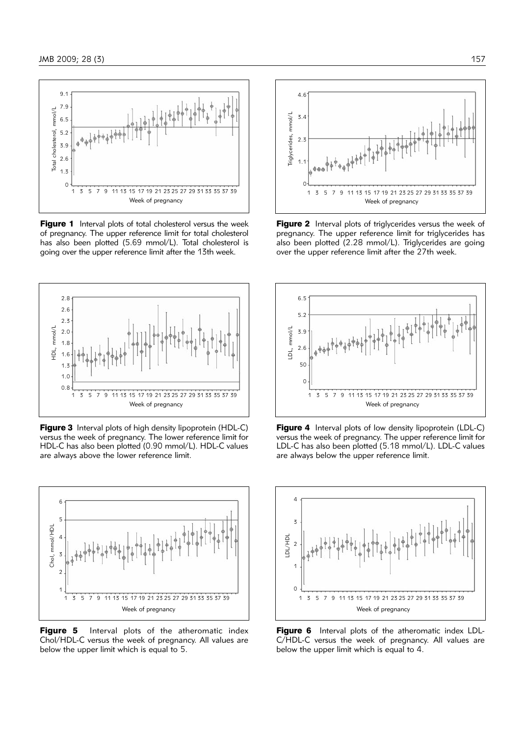

Figure 1 Interval plots of total cholesterol versus the week of pregnancy. The upper reference limit for total cholesterol has also been plotted (5.69 mmol/L). Total cholesterol is going over the upper reference limit after the 13th week.



Figure 3 Interval plots of high density lipoprotein (HDL-C) versus the week of pregnancy. The lower reference limit for HDL-C has also been plotted (0.90 mmol/L). HDL-C values are always above the lower reference limit.



Figure 5 Interval plots of the atheromatic index Chol/HDL-C versus the week of pregnancy. All values are below the upper limit which is equal to 5.



Figure 2 Interval plots of triglycerides versus the week of pregnancy. The upper reference limit for triglycerides has also been plotted (2.28 mmol/L). Triglycerides are going over the upper reference limit after the 27th week.



Figure 4 Interval plots of low density lipoprotein (LDL-C) versus the week of pregnancy. The upper reference limit for LDL-C has also been plotted (5.18 mmol/L). LDL-C values are always below the upper reference limit.



Figure 6 Interval plots of the atheromatic index LDL-C/HDL-C versus the week of pregnancy. All values are below the upper limit which is equal to 4.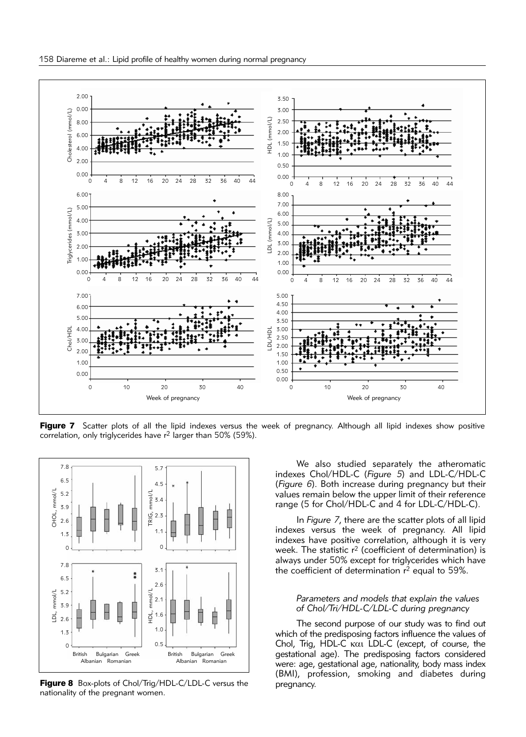

Figure 7 Scatter plots of all the lipid indexes versus the week of pregnancy. Although all lipid indexes show positive correlation, only triglycerides have r2 larger than 50% (59%).



Figure 8 Box-plots of Chol/Trig/HDL-C/LDL-C versus the nationality of the pregnant women.

We also studied separately the atheromatic inde x es Chol/HDL-C (*Figure 5*) and LDL-C/HDL-C (*Figure 6*). Both increase during pregnancy but their values remain below the upper limit of their reference range (5 for Chol/HDL-C and 4 for LDL-C/HDL-C).

In *Figure 7*, there are the scatter plots of all lipid indexes versus the week of pregnancy. All lipid indexes have positive correlation, although it is very week. The statistic  $r^2$  (coefficient of determination) is always under 50% except for triglycerides which have the coefficient of determination  $r^2$  equal to 59%.

#### *Parameters and models that explain the values of Chol/Tri/HDL-C/LDL-C during pregnancy*

The second purpose of our study was to find out which of the predisposing factors influence the values of Chol, Trig, HDL-C kai LDL-C (except, of course, the gestational age). The predisposing factors considered were: age, gestational age, nationality, body mass index (BMI), profession, smoking and diabetes during pregnancy.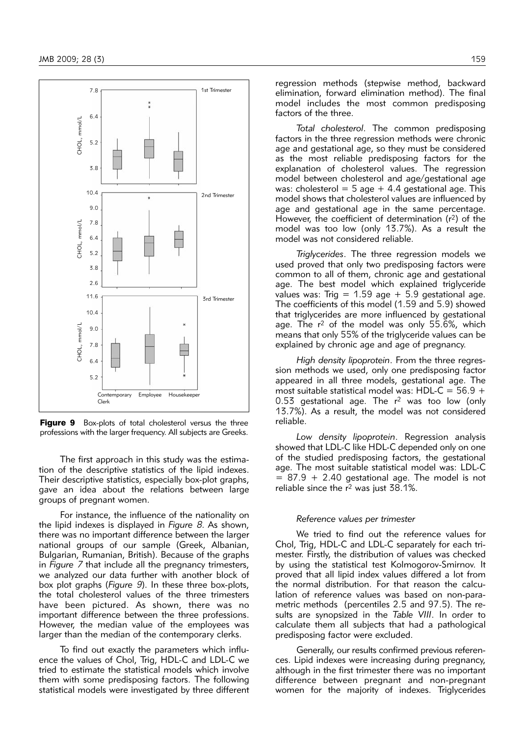

Figure 9 Box-plots of total cholesterol versus the three professions with the larger frequency. All subjects are Greeks.

The first approach in this study was the estimation of the descriptive statistics of the lipid indexes. Their descriptive statistics, especially box-plot graphs, gave an idea about the relations between large groups of pregnant women.

For instance, the influence of the nationality on the lipid indexes is displayed in *Figure 8*. As shown, there was no important difference between the larger national groups of our sample (Greek, Albanian, Bulgarian, Rumanian, British). Because of the graphs in *Figure 7* that include all the pregnancy trimesters, we analyzed our data further with another block of box plot graphs (*Figure 9*). In these three box-plots, the total cholesterol values of the three trimesters have been pictured. As shown, there was no important difference between the three professions. However, the median value of the employees was larger than the median of the contemporary clerks.

To find out exactly the parameters which influence the values of Chol, Trig, HDL-C and LDL-C we tried to estimate the statistical models which involve them with some predisposing factors. The following statistical models were investigated by three different regression methods (stepwise method, backward elimination, forward elimination method). The final model includes the most common predisposing factors of the three.

*Total cholesterol*. The common predisposing factors in the three regression methods were chronic age and gestational age, so they must be considered as the most reliable predisposing factors for the explanation of cholesterol values. The regression model between cholesterol and age/gestational age was: cholesterol =  $5$  age + 4.4 gestational age. This model shows that cholesterol values are influenced by age and gestational age in the same percentage. However, the coefficient of determination  $(r^2)$  of the model was too low (only 13.7%). As a result the model was not considered reliable.

*Triglycerides*. The three regression models we used proved that only two predisposing factors were common to all of them, chronic age and gestational age. The best model which explained triglyceride values was: Trig =  $1.59$  age +  $5.9$  gestational age. The coefficients of this model (1.59 and 5.9) showed that triglycerides are more influenced by gestational age. The r<sup>2</sup> of the model was only 55.6%, which means that only 55% of the trigly ceride values can be explained by chronic age and age of pregnancy.

High density lipoprotein. From the three regression methods we used, only one predisposing factor appeared in all three models, gestational age. The most suitable statistical model was: HDL-C =  $56.9 +$  $0.53$  gestational age. The  $r^2$  was too low (only  $13.7\%$ ). As a result, the model was not considered reliable.

Low density lipoprotein. Regression analysis showed that LDL-C like HDL-C depended only on one of the studied predisposing factors, the gestational age. The most suitable statistical model was: LDL-C  $= 87.9 + 2.40$  gestational age. The model is not reliable since the  $r^2$  was just 38.1%.

#### *Reference values per trimester*

We tried to find out the reference values for Chol, Trig, HDL-C and LDL-C separately for each trimester. Firstly, the distribution of values was checked by using the statistical test Kolmogorov-Smirnov. It proved that all lipid index values differed a lot from the normal distribution. For that reason the calculation of reference values was based on non-parametric methods (percentiles 2.5 and 97.5). The results are synopsized in the *Table VIII*. In order to calculate them all subjects that had a pathological predisposing factor were excluded.

Generally, our results confirmed previous references. Lipid indexes were increasing during pregnancy, although in the first trimester there was no important difference between pregnant and non-pregnant women for the majority of indexes. Triglycerides